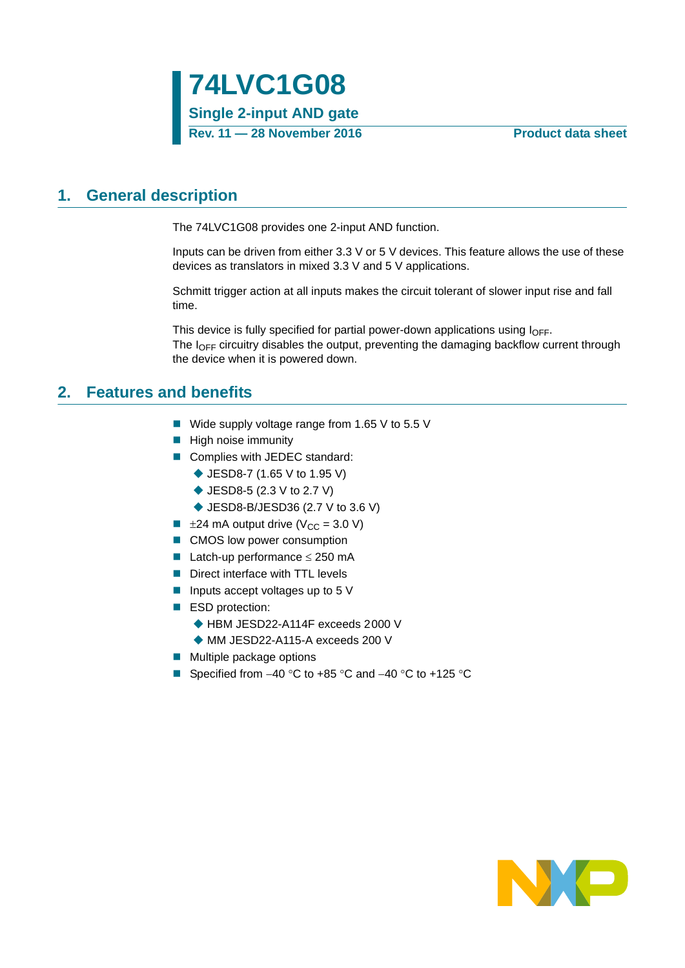# <span id="page-0-0"></span>**1. General description**

The 74LVC1G08 provides one 2-input AND function.

Inputs can be driven from either 3.3 V or 5 V devices. This feature allows the use of these devices as translators in mixed 3.3 V and 5 V applications.

Schmitt trigger action at all inputs makes the circuit tolerant of slower input rise and fall time.

This device is fully specified for partial power-down applications using  $I_{\text{OFF}}$ . The  $I<sub>OFF</sub>$  circuitry disables the output, preventing the damaging backflow current through the device when it is powered down.

## <span id="page-0-1"></span>**2. Features and benefits**

- Wide supply voltage range from 1.65 V to 5.5 V
- **High noise immunity**
- Complies with JEDEC standard:
	- ◆ JESD8-7 (1.65 V to 1.95 V)
	- ◆ JESD8-5 (2.3 V to 2.7 V)
	- ◆ JESD8-B/JESD36 (2.7 V to 3.6 V)
- $\blacksquare$   $\pm$ 24 mA output drive (V<sub>CC</sub> = 3.0 V)
- CMOS low power consumption
- **Latch-up performance**  $\leq$  **250 mA**
- Direct interface with TTL levels
- **Inputs accept voltages up to 5 V**
- ESD protection:
	- ◆ HBM JESD22-A114F exceeds 2000 V
	- MM JESD22-A115-A exceeds 200 V
- $\blacksquare$  Multiple package options
- Specified from  $-40$  °C to  $+85$  °C and  $-40$  °C to  $+125$  °C

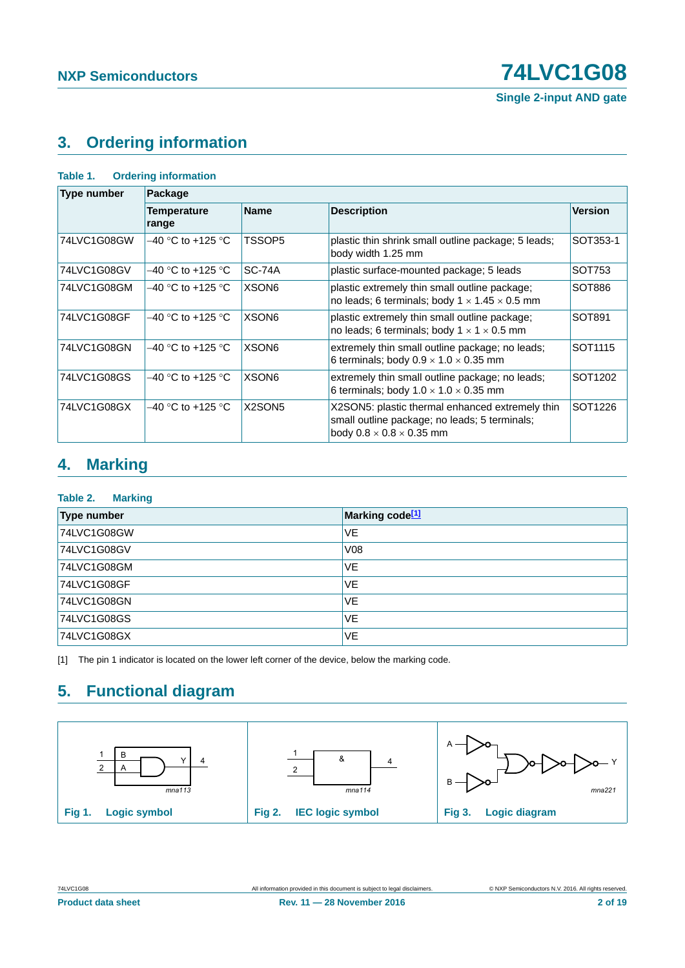**Single 2-input AND gate**

# <span id="page-1-1"></span>**3. Ordering information**

| Table 1.           | <b>Ordering information</b> |                   |                                                                                                                                          |                     |
|--------------------|-----------------------------|-------------------|------------------------------------------------------------------------------------------------------------------------------------------|---------------------|
| <b>Type number</b> | Package                     |                   |                                                                                                                                          |                     |
|                    | <b>Temperature</b><br>range | <b>Name</b>       | <b>Description</b>                                                                                                                       | <b>Version</b>      |
| 74LVC1G08GW        | $-40$ °C to +125 °C         | TSSOP5            | plastic thin shrink small outline package; 5 leads;<br>body width 1.25 mm                                                                | SOT353-1            |
| 74LVC1G08GV        | $-40$ °C to +125 °C         | <b>SC-74A</b>     | plastic surface-mounted package; 5 leads                                                                                                 | SOT753              |
| 74LVC1G08GM        | $-40$ °C to +125 °C         | XSON <sub>6</sub> | plastic extremely thin small outline package;<br>no leads; 6 terminals; body $1 \times 1.45 \times 0.5$ mm                               | SOT886              |
| 74LVC1G08GF        | $-40$ °C to +125 °C         | XSON <sub>6</sub> | plastic extremely thin small outline package;<br>no leads; 6 terminals; body $1 \times 1 \times 0.5$ mm                                  | SOT891              |
| 74LVC1G08GN        | $-40$ °C to +125 °C         | XSON <sub>6</sub> | extremely thin small outline package; no leads;<br>6 terminals; body $0.9 \times 1.0 \times 0.35$ mm                                     | SOT <sub>1115</sub> |
| 74LVC1G08GS        | $-40$ °C to +125 °C         | XSON <sub>6</sub> | extremely thin small outline package; no leads;<br>6 terminals; body $1.0 \times 1.0 \times 0.35$ mm                                     | SOT1202             |
| 74LVC1G08GX        | $-40$ °C to +125 °C         | X2SON5            | X2SON5: plastic thermal enhanced extremely thin<br>small outline package; no leads; 5 terminals;<br>body $0.8 \times 0.8 \times 0.35$ mm | SOT1226             |

# <span id="page-1-2"></span>**4. Marking**

### **Table 2. Marking**

| <b>Type number</b> | Marking code <sup>[1]</sup> |
|--------------------|-----------------------------|
| 74LVC1G08GW        | <b>VE</b>                   |
| 74LVC1G08GV        | V08                         |
| 74LVC1G08GM        | <b>VE</b>                   |
| 74LVC1G08GF        | <b>VE</b>                   |
| 74LVC1G08GN        | <b>VE</b>                   |
| 74LVC1G08GS        | <b>VE</b>                   |
| 74LVC1G08GX        | <b>VE</b>                   |

<span id="page-1-0"></span>[1] The pin 1 indicator is located on the lower left corner of the device, below the marking code.

# <span id="page-1-3"></span>**5. Functional diagram**

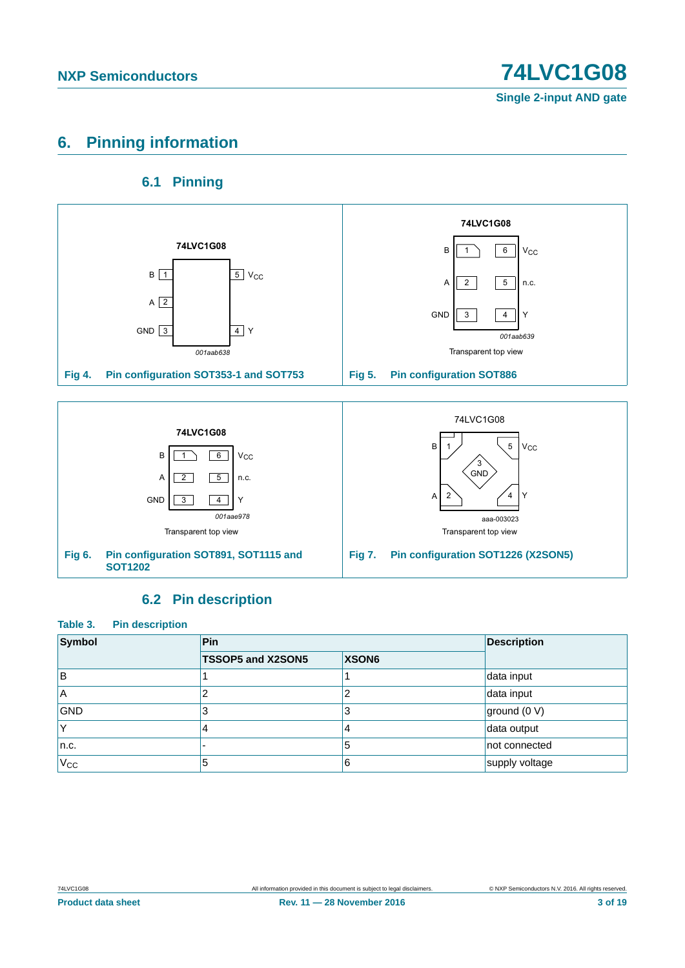# <span id="page-2-0"></span>**6. Pinning information**

## **6.1 Pinning**

<span id="page-2-1"></span>

## **6.2 Pin description**

<span id="page-2-2"></span>

| Table 3.<br><b>Pin description</b> |                   |                   |                    |
|------------------------------------|-------------------|-------------------|--------------------|
| Symbol                             | <b>Pin</b>        |                   | <b>Description</b> |
|                                    | TSSOP5 and X2SON5 | XSON <sub>6</sub> |                    |
| ΙB                                 |                   |                   | data input         |
| ΙA                                 | 2                 | າ                 | data input         |
| <b>GND</b>                         | 3                 | 3                 | ground (0 V)       |
| ΙY                                 | 4                 | 4                 | data output        |
| n.c.                               |                   | 5                 | not connected      |
| $V_{CC}$                           | 5                 | 6                 | supply voltage     |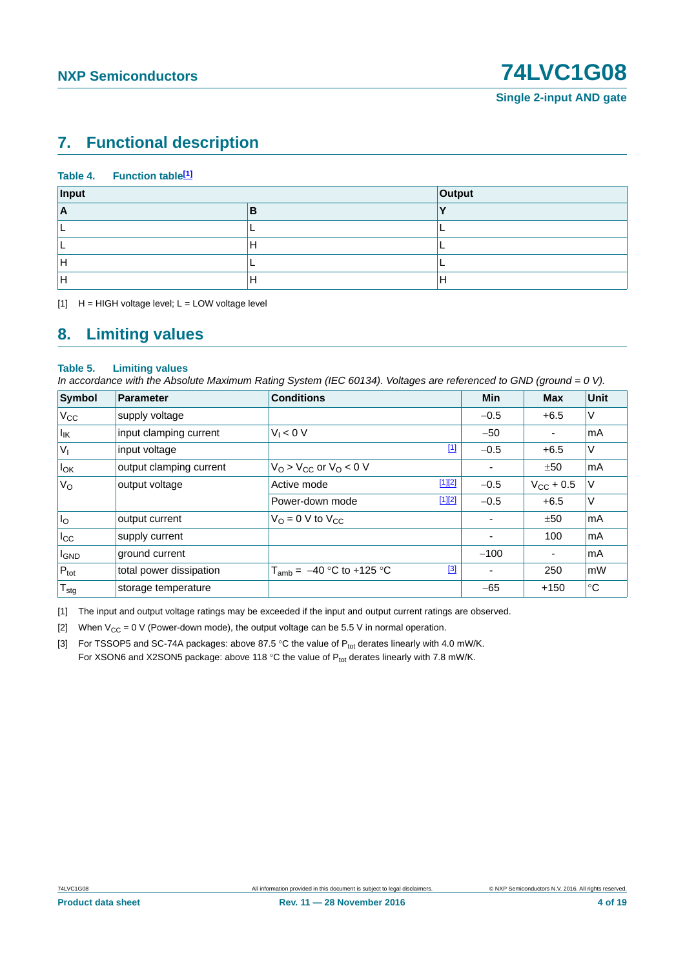# <span id="page-3-4"></span>**7. Functional description**

### Table 4. Function table<sup>[1]</sup>

| Input    |     | <b>Output</b> |
|----------|-----|---------------|
| <u>r</u> |     |               |
|          |     |               |
|          | . . |               |
| -        |     |               |
|          |     | Ħ             |

<span id="page-3-0"></span> $[1]$  H = HIGH voltage level; L = LOW voltage level

## <span id="page-3-5"></span>**8. Limiting values**

### **Table 5. Limiting values**

*In accordance with the Absolute Maximum Rating System (IEC 60134). Voltages are referenced to GND (ground = 0 V).*

| Symbol                       | Parameter               | <b>Conditions</b>                     |             | <b>Min</b> | <b>Max</b>         | Unit        |
|------------------------------|-------------------------|---------------------------------------|-------------|------------|--------------------|-------------|
| $V_{\rm CC}$                 | supply voltage          |                                       |             | $-0.5$     | $+6.5$             | $\vee$      |
| $\vert I_{\mathsf{IK}}\vert$ | input clamping current  | $V_1 < 0$ V                           |             | $-50$      |                    | <b>mA</b>   |
| $V_{I}$                      | input voltage           |                                       | $\boxed{1}$ | $-0.5$     | $+6.5$             | $\vee$      |
| $I_{OK}$                     | output clamping current | $VO > VCC$ or $VO < 0$ V              |             |            | ±50                | mA          |
| $V_{\rm O}$                  | output voltage          | Active mode                           | $[1][2]$    | $-0.5$     | $V_{\rm CC}$ + 0.5 | V           |
|                              |                         | Power-down mode                       | $[1][2]$    | $-0.5$     | $+6.5$             | $\vee$      |
| $I_{\rm O}$                  | output current          | $V_{\Omega} = 0$ V to $V_{\text{CC}}$ |             |            | ±50                | l mA        |
| $I_{\rm CC}$                 | supply current          |                                       |             | ٠          | 100                | l mA        |
| <b>I</b> GND                 | ground current          |                                       |             | $-100$     | ۰                  | <b>mA</b>   |
| $P_{\text{tot}}$             | total power dissipation | $T_{amb} = -40 °C$ to +125 °C         | $[3]$       |            | 250                | mW          |
| ${\mathsf T}_{\textsf{stg}}$ | storage temperature     |                                       |             | $-65$      | $+150$             | $^{\circ}C$ |

<span id="page-3-1"></span>[1] The input and output voltage ratings may be exceeded if the input and output current ratings are observed.

<span id="page-3-2"></span>[2] When  $V_{CC} = 0$  V (Power-down mode), the output voltage can be 5.5 V in normal operation.

<span id="page-3-3"></span>[3] For TSSOP5 and SC-74A packages: above 87.5 °C the value of  $P_{tot}$  derates linearly with 4.0 mW/K. For XSON6 and X2SON5 package: above 118 °C the value of  $P_{tot}$  derates linearly with 7.8 mW/K.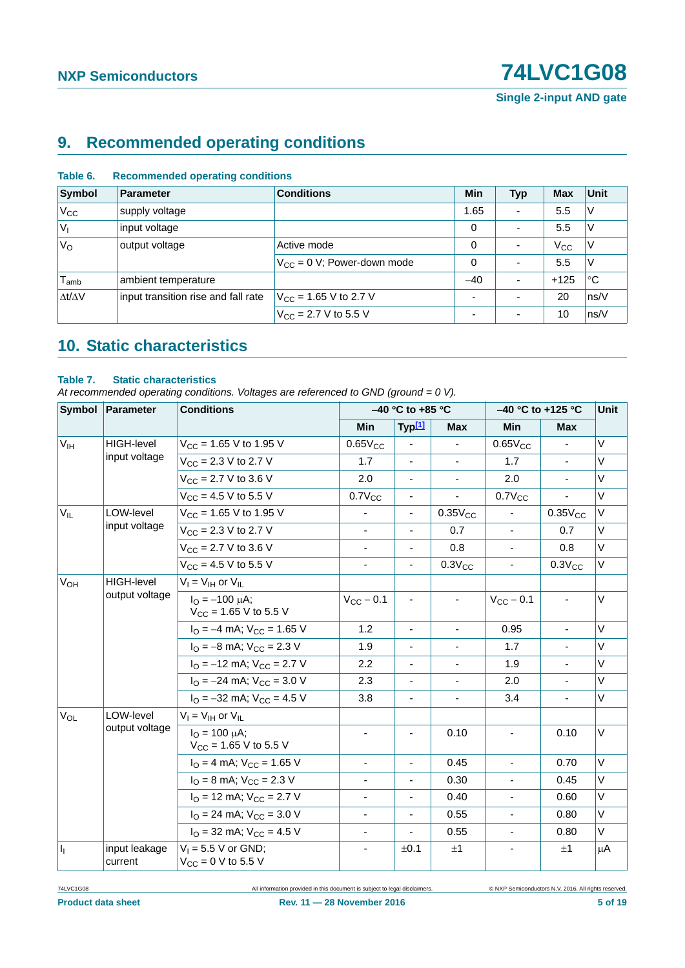**Single 2-input AND gate**

# <span id="page-4-1"></span>**9. Recommended operating conditions**

| Symbol              | Parameter                           | <b>Conditions</b>                 | Min   | <b>Typ</b>               | <b>Max</b>   | Unit           |
|---------------------|-------------------------------------|-----------------------------------|-------|--------------------------|--------------|----------------|
| V <sub>CC</sub>     | supply voltage                      |                                   | 1.65  | $\overline{\phantom{a}}$ | 5.5          | ΙV             |
| $ V_1$              | input voltage                       |                                   | 0     | ٠                        | 5.5          | V              |
| $V_{\rm O}$         | output voltage                      | Active mode                       | 0     | $\overline{\phantom{a}}$ | $V_{\rm CC}$ | V              |
|                     |                                     | $V_{CC} = 0$ V; Power-down mode   | 0     | ۰                        | 5.5          | ΙV             |
| $T_{amb}$           | ambient temperature                 |                                   | $-40$ | $\overline{\phantom{a}}$ | $+125$       | ∣°C            |
| $\Delta t/\Delta V$ | input transition rise and fall rate | $V_{\text{CC}}$ = 1.65 V to 2.7 V |       | ۰                        | 20           | ns/V           |
|                     |                                     | $V_{\text{CC}}$ = 2.7 V to 5.5 V  | и.    | $\overline{\phantom{0}}$ | 10           | $\sqrt{}$ ns/V |

### **Table 6. Recommended operating conditions**

# <span id="page-4-2"></span>**10. Static characteristics**

### <span id="page-4-0"></span>**Table 7. Static characteristics**

*At recommended operating conditions. Voltages are referenced to GND (ground = 0 V).*

|                       | Symbol Parameter         | <b>Conditions</b>                                                 |                          | $-40$ °C to +85 °C       |                          |                          | -40 °C to +125 °C |        |  |
|-----------------------|--------------------------|-------------------------------------------------------------------|--------------------------|--------------------------|--------------------------|--------------------------|-------------------|--------|--|
|                       |                          |                                                                   | <b>Min</b>               | Typ <sup>[1]</sup>       | <b>Max</b>               | Min                      | <b>Max</b>        |        |  |
| V <sub>IH</sub>       | <b>HIGH-level</b>        | $V_{CC}$ = 1.65 V to 1.95 V                                       | $0.65V_{CC}$             |                          |                          | $0.65V_{CC}$             |                   | $\vee$ |  |
|                       | input voltage            | $V_{CC}$ = 2.3 V to 2.7 V                                         | 1.7                      | $\blacksquare$           | $\blacksquare$           | 1.7                      |                   | $\vee$ |  |
|                       |                          | $V_{CC}$ = 2.7 V to 3.6 V                                         | 2.0                      | $\overline{\phantom{a}}$ | $\overline{\phantom{a}}$ | 2.0                      | $\blacksquare$    | $\vee$ |  |
|                       |                          | $V_{CC}$ = 4.5 V to 5.5 V                                         | $0.7V_{CC}$              | $\overline{\phantom{a}}$ | $\overline{\phantom{a}}$ | $0.7V_{CC}$              |                   | V      |  |
| $V_{IL}$              | LOW-level                | $V_{CC}$ = 1.65 V to 1.95 V                                       | $\overline{\phantom{a}}$ | $\blacksquare$           | $0.35V_{CC}$             |                          | $0.35V_{CC}$      | $\vee$ |  |
|                       | input voltage            | $V_{CC}$ = 2.3 V to 2.7 V                                         | $\blacksquare$           | $\blacksquare$           | 0.7                      | $\blacksquare$           | 0.7               | $\vee$ |  |
|                       |                          | $V_{CC}$ = 2.7 V to 3.6 V                                         | $\overline{\phantom{a}}$ | $\overline{\phantom{a}}$ | 0.8                      | $\blacksquare$           | 0.8               | V      |  |
|                       |                          | $V_{CC}$ = 4.5 V to 5.5 V                                         | $\overline{\phantom{a}}$ | $\overline{\phantom{a}}$ | $0.3V_{CC}$              | $\blacksquare$           | $0.3V_{CC}$       | V      |  |
| <b>V<sub>OH</sub></b> | HIGH-level               | $V_I = V_{IH}$ or $V_{IL}$                                        |                          |                          |                          |                          |                   |        |  |
|                       | output voltage           | $I_{\Omega} = -100 \mu A$ ;<br>$V_{CC}$ = 1.65 V to 5.5 V         | $V_{CC}$ - 0.1           | $\blacksquare$           | $\blacksquare$           | $V_{CC}$ - 0.1           | $\blacksquare$    | V      |  |
|                       |                          | $I_{\text{O}} = -4 \text{ mA}$ ; $V_{\text{CC}} = 1.65 \text{ V}$ | 1.2                      | $\overline{\phantom{a}}$ | $\overline{\phantom{a}}$ | 0.95                     | $\blacksquare$    | V      |  |
|                       |                          | $I_{\rm O}$ = -8 mA; $V_{\rm CC}$ = 2.3 V                         | 1.9                      | $\blacksquare$           | $\overline{\phantom{a}}$ | 1.7                      |                   | V      |  |
|                       |                          | $IO = -12$ mA; $VCC = 2.7$ V                                      | 2.2                      | $\blacksquare$           | $\blacksquare$           | 1.9                      |                   | V      |  |
|                       |                          | $I_{\text{O}} = -24 \text{ mA}$ ; $V_{\text{CC}} = 3.0 \text{ V}$ | 2.3                      | $\blacksquare$           | $\blacksquare$           | 2.0                      |                   | V      |  |
|                       |                          | $I_{\text{O}} = -32 \text{ mA}$ ; $V_{\text{CC}} = 4.5 \text{ V}$ | 3.8                      | $\blacksquare$           | ÷,                       | 3.4                      | $\blacksquare$    | V      |  |
| $V_{OL}$              | LOW-level                | $V_I = V_{IH}$ or $V_{IL}$                                        |                          |                          |                          |                          |                   |        |  |
|                       | output voltage           | $I_{\Omega} = 100 \mu A$ ;<br>$V_{\text{CC}}$ = 1.65 V to 5.5 V   |                          |                          | 0.10                     |                          | 0.10              | $\vee$ |  |
|                       |                          | $IO = 4$ mA; $VCC = 1.65$ V                                       | $\blacksquare$           | $\blacksquare$           | 0.45                     | $\blacksquare$           | 0.70              | $\vee$ |  |
|                       |                          | $I_{\rm O}$ = 8 mA; $V_{\rm CC}$ = 2.3 V                          | $\overline{\phantom{a}}$ | $\overline{\phantom{a}}$ | 0.30                     | $\overline{\phantom{a}}$ | 0.45              | V      |  |
|                       |                          | $IO$ = 12 mA; $VCC$ = 2.7 V                                       | $\overline{\phantom{a}}$ | $\overline{\phantom{a}}$ | 0.40                     | $\blacksquare$           | 0.60              | V      |  |
|                       |                          | $I_{\text{O}}$ = 24 mA; $V_{\text{CC}}$ = 3.0 V                   | $\overline{\phantom{a}}$ | $\overline{\phantom{a}}$ | 0.55                     |                          | 0.80              | $\vee$ |  |
|                       |                          | $IO$ = 32 mA; $VCC$ = 4.5 V                                       | $\blacksquare$           |                          | 0.55                     | $\blacksquare$           | 0.80              | V      |  |
| h,                    | input leakage<br>current | $V_1 = 5.5 V$ or GND;<br>$V_{CC} = 0 V$ to 5.5 V                  | $\overline{\phantom{a}}$ | ±0.1                     | ±1                       |                          | ±1                | μA     |  |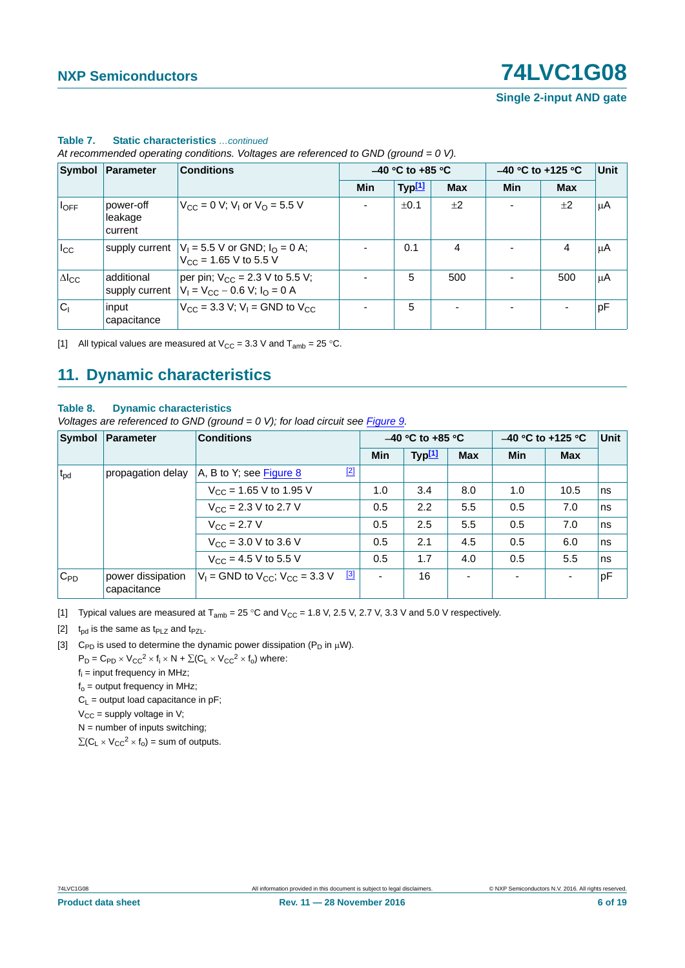**Single 2-input AND gate**

|                 | Symbol Parameter                | <b>Conditions</b>                                                           |                          | $-40$ °C to +85 °C |            |     | $-40$ °C to +125 °C |                 |  |
|-----------------|---------------------------------|-----------------------------------------------------------------------------|--------------------------|--------------------|------------|-----|---------------------|-----------------|--|
|                 |                                 |                                                                             | Min                      | Typ <sup>[1]</sup> | <b>Max</b> | Min | <b>Max</b>          |                 |  |
| $I_{OFF}$       | power-off<br>leakage<br>current | $V_{\text{CC}} = 0$ V; V <sub>1</sub> or V <sub>O</sub> = 5.5 V             | $\overline{\phantom{a}}$ | ±0.1               | ±2         |     | ±2                  | μA              |  |
| $I_{\rm CC}$    | supply current                  | $V_1 = 5.5$ V or GND; $I_0 = 0$ A;<br>$V_{\text{CC}}$ = 1.65 V to 5.5 V     |                          | 0.1                | 4          |     | 4                   | μA              |  |
| $\Delta I_{CC}$ | additional<br>supply current    | per pin; $V_{CC}$ = 2.3 V to 5.5 V;<br>$V_1 = V_{CC} - 0.6 V$ ; $I_0 = 0 A$ |                          | 5                  | 500        |     | 500                 | <sup>ι</sup> μΑ |  |
| $ C_1 $         | input<br>capacitance            | $V_{CC}$ = 3.3 V; V <sub>I</sub> = GND to V <sub>CC</sub>                   |                          | 5                  |            |     |                     | pF              |  |

### **Table 7. Static characteristics** *…continued*

*At recommended operating conditions. Voltages are referenced to GND (ground = 0 V).*

<span id="page-5-0"></span>[1] All typical values are measured at  $V_{CC} = 3.3$  V and  $T_{amb} = 25$  °C.

# <span id="page-5-4"></span>**11. Dynamic characteristics**

### **Table 8. Dynamic characteristics**

*Voltages are referenced to GND (ground = 0 V); for load circuit see [Figure 9.](#page-7-0)* 

|              | Symbol Parameter                 | <b>Conditions</b>                                 | $-40$ °C to +85 °C       |                    |            | $-40$ °C to +125 °C |                | Unit |
|--------------|----------------------------------|---------------------------------------------------|--------------------------|--------------------|------------|---------------------|----------------|------|
|              |                                  |                                                   | Min                      | Typ <sup>[1]</sup> | <b>Max</b> | Min                 | <b>Max</b>     |      |
| $t_{\rm pd}$ | propagation delay                | $[2]$<br>A, B to Y; see Figure 8                  |                          |                    |            |                     |                |      |
|              |                                  | $V_{CC}$ = 1.65 V to 1.95 V                       | 1.0                      | 3.4                | 8.0        | 1.0                 | 10.5           | ns   |
|              |                                  | $V_{\rm CC}$ = 2.3 V to 2.7 V                     | 0.5                      | 2.2                | 5.5        | 0.5                 | 7.0            | ns   |
|              |                                  | $V_{\text{CC}} = 2.7 V$                           | 0.5                      | 2.5                | 5.5        | 0.5                 | 7.0            | ns   |
|              |                                  | $V_{CC}$ = 3.0 V to 3.6 V                         | 0.5                      | 2.1                | 4.5        | 0.5                 | 6.0            | ns   |
|              |                                  | $V_{CC}$ = 4.5 V to 5.5 V                         | 0.5                      | 1.7                | 4.0        | 0.5                 | 5.5            | ns   |
| $C_{PD}$     | power dissipation<br>capacitance | [3]<br>$V_1$ = GND to $V_{CC}$ ; $V_{CC}$ = 3.3 V | $\overline{\phantom{0}}$ | 16                 |            | ۰                   | $\blacksquare$ | pF   |

<span id="page-5-1"></span>[1] Typical values are measured at  $T_{amb} = 25 \degree C$  and  $V_{CC} = 1.8$  V, 2.5 V, 2.7 V, 3.3 V and 5.0 V respectively.

<span id="page-5-2"></span>[2]  $t_{\text{od}}$  is the same as  $t_{\text{PLZ}}$  and  $t_{\text{PZL}}$ .

<span id="page-5-3"></span>[3] C<sub>PD</sub> is used to determine the dynamic power dissipation ( $P_D$  in  $\mu$ W).

- $P_D = C_{PD} \times V_{CC}^2 \times f_i \times N + \Sigma (C_L \times V_{CC}^2 \times f_o)$  where:
- $f_i$  = input frequency in MHz;
- $f<sub>o</sub>$  = output frequency in MHz;

 $C_1$  = output load capacitance in pF;

 $V_{CC}$  = supply voltage in V;

 $N =$  number of inputs switching;

 $\sum (C_L \times V_{CC}^2 \times f_0)$  = sum of outputs.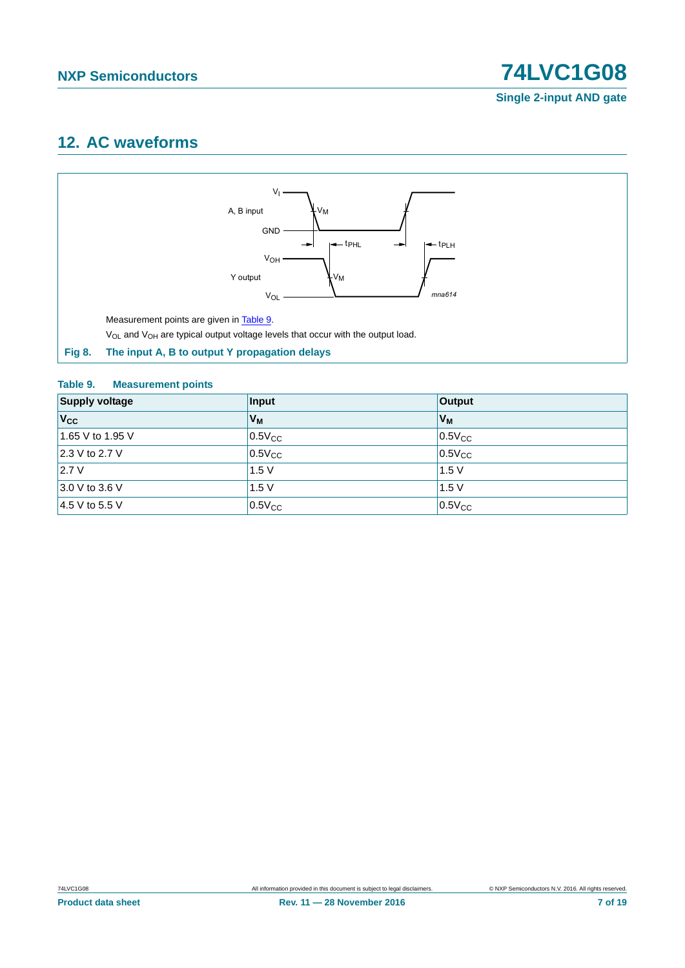# <span id="page-6-2"></span>**12. AC waveforms**



### <span id="page-6-1"></span><span id="page-6-0"></span>**Table 9. Measurement points**

| <b>Supply voltage</b> | Input       | Output      |
|-----------------------|-------------|-------------|
| $V_{\rm CC}$          | $V_{M}$     | $ V_{M} $   |
| 1.65 V to 1.95 V      | $0.5V_{CC}$ | $0.5V_{CC}$ |
| 2.3 V to 2.7 V        | $0.5V_{CC}$ | $0.5V_{CC}$ |
| 2.7V                  | 1.5V        | 1.5V        |
| $3.0 V$ to 3.6 V      | 1.5V        | 1.5V        |
| 4.5 V to 5.5 V        | $0.5V_{CC}$ | $0.5V_{CC}$ |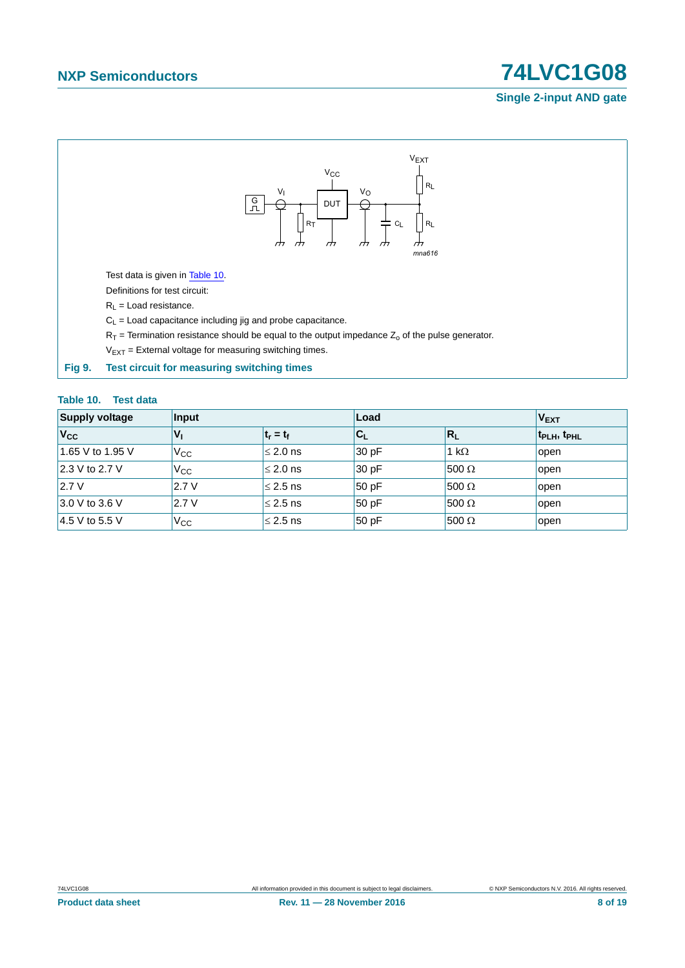### **Single 2-input AND gate**



<span id="page-7-1"></span><span id="page-7-0"></span>

| Table 10. Test data   |              |               |                           |              |                                     |
|-----------------------|--------------|---------------|---------------------------|--------------|-------------------------------------|
| <b>Supply voltage</b> | Input        |               | Load                      |              | <b>VEXT</b>                         |
| $V_{\rm CC}$          | $V_{1}$      | $t_r = t_f$   | $\mathbf{C}_{\mathsf{L}}$ | $R_L$        | t <sub>PLH</sub> , t <sub>PHL</sub> |
| 1.65 V to 1.95 V      | $V_{\rm CC}$ | $\leq$ 2.0 ns | 30 pF                     | 1 k $\Omega$ | open                                |
| 2.3 V to 2.7 V        | $V_{\rm CC}$ | $\leq$ 2.0 ns | 30 pF                     | $500 \Omega$ | open                                |
| 2.7V                  | 2.7V         | $\leq$ 2.5 ns | 50 pF                     | $500 \Omega$ | open                                |
| 3.0 V to 3.6 V        | 2.7V         | $\leq$ 2.5 ns | 50 pF                     | $500 \Omega$ | open                                |
| 4.5 V to 5.5 V        | $V_{\rm CC}$ | $\leq$ 2.5 ns | 50 pF                     | $500 \Omega$ | open                                |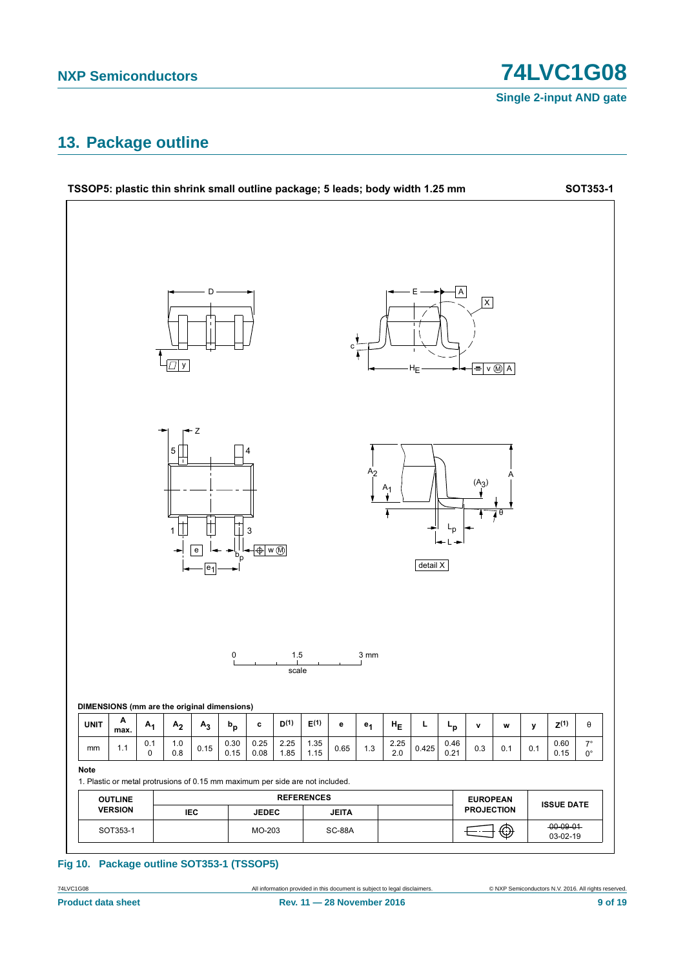**74LVC1G08** 

**Single 2-input AND gate** 

## <span id="page-8-0"></span>13. Package outline



### Fig 10. Package outline SOT353-1 (TSSOP5)

74LVC1G08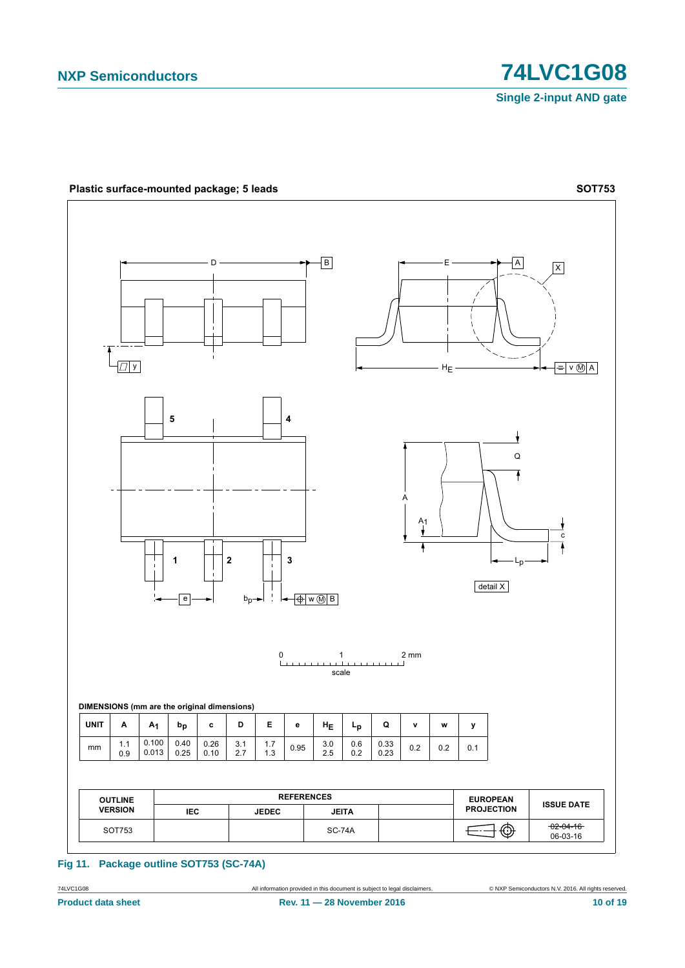

### Fig 11. Package outline SOT753 (SC-74A)

74LVC1G08 **Product data sheet**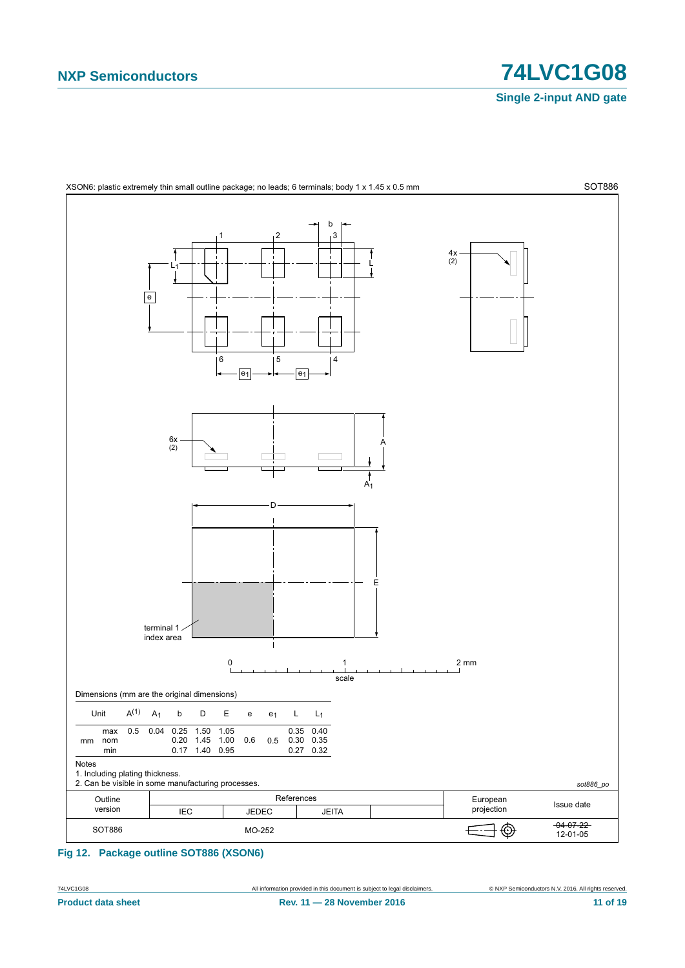**Single 2-input AND gate**



<span id="page-10-0"></span>**Fig 12. Package outline SOT886 (XSON6)**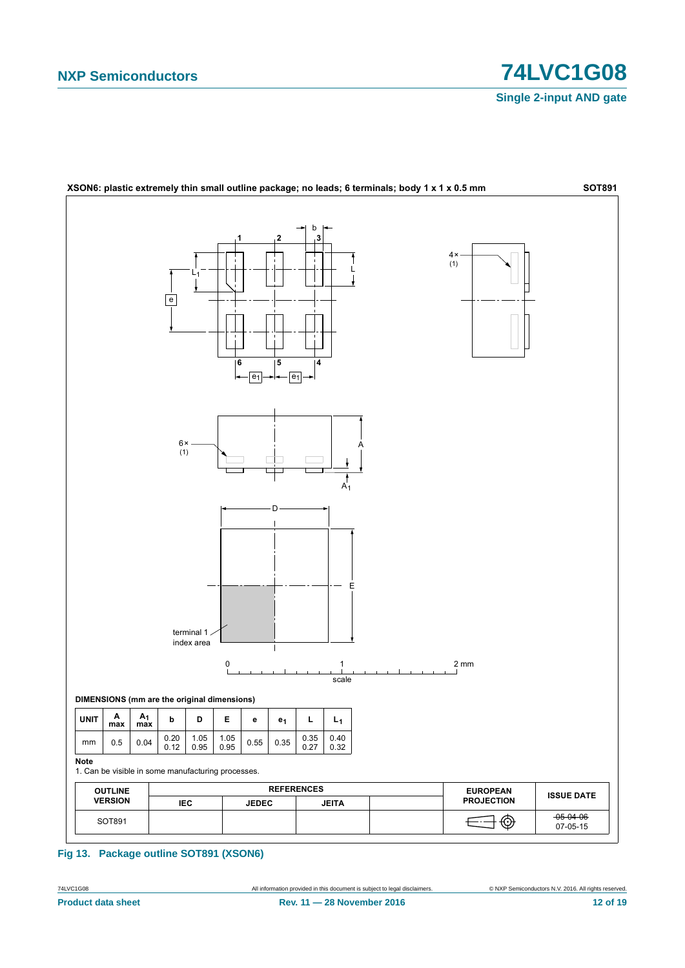



Fig 13. Package outline SOT891 (XSON6)

74LVC1G08 **Product data sheet**  C NXP Semiconductors N.V. 2016. All rights reserved.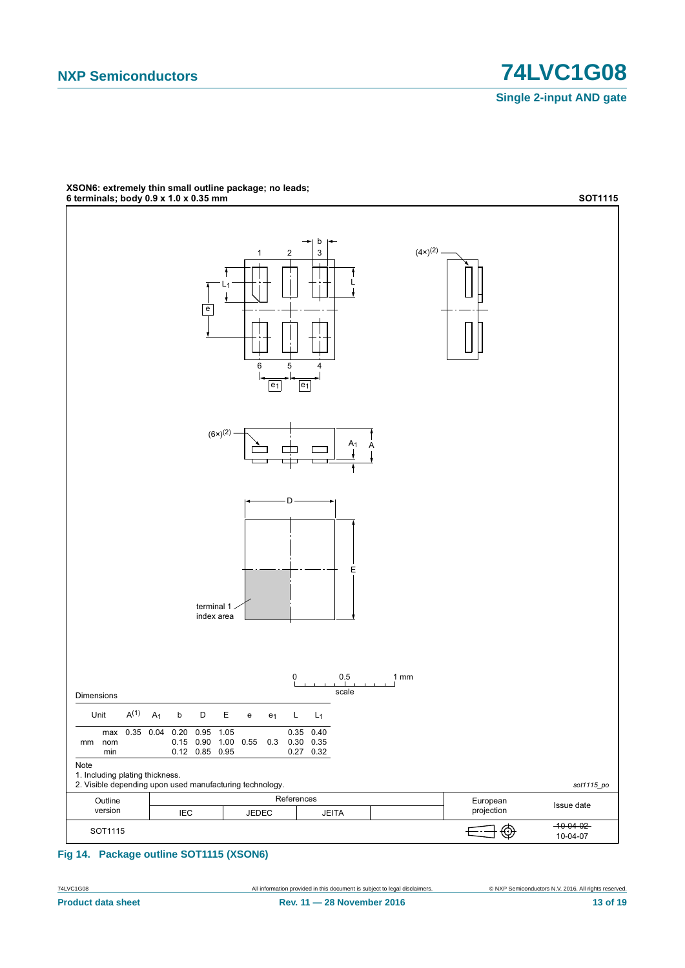

# XSON6: extremely thin small outline package; no leads;<br>6 terminals; body 0.9 x 1.0 x 0.35 mm

Fig 14. Package outline SOT1115 (XSON6)

74LVC1G08 **Product data sheet** 

13 of 19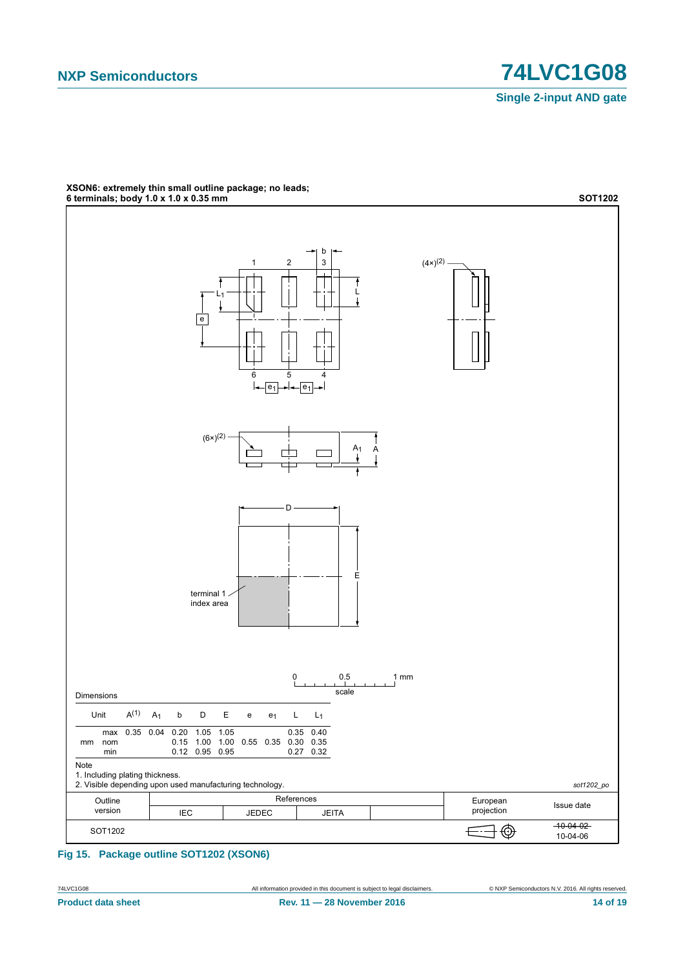



# XSON6: extremely thin small outline package; no leads;<br>6 terminals; body 1.0 x 1.0 x 0.35 mm

Fig 15. Package outline SOT1202 (XSON6)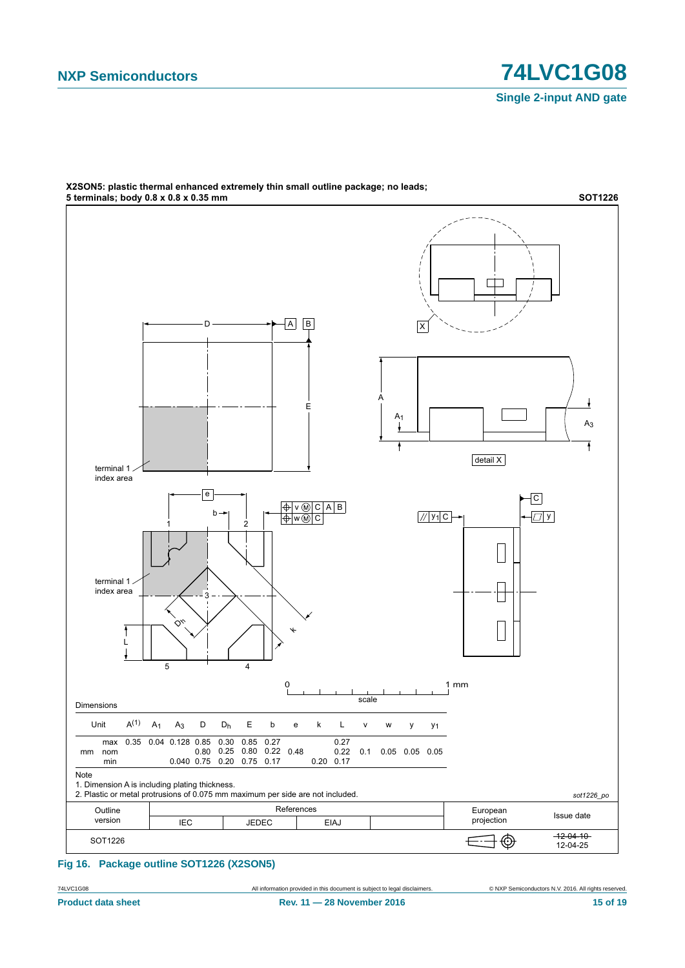

X2SON5: plastic thermal enhanced extremely thin small outline package; no leads;

### **Fig 16. Package outline SOT1226 (X2SON5)**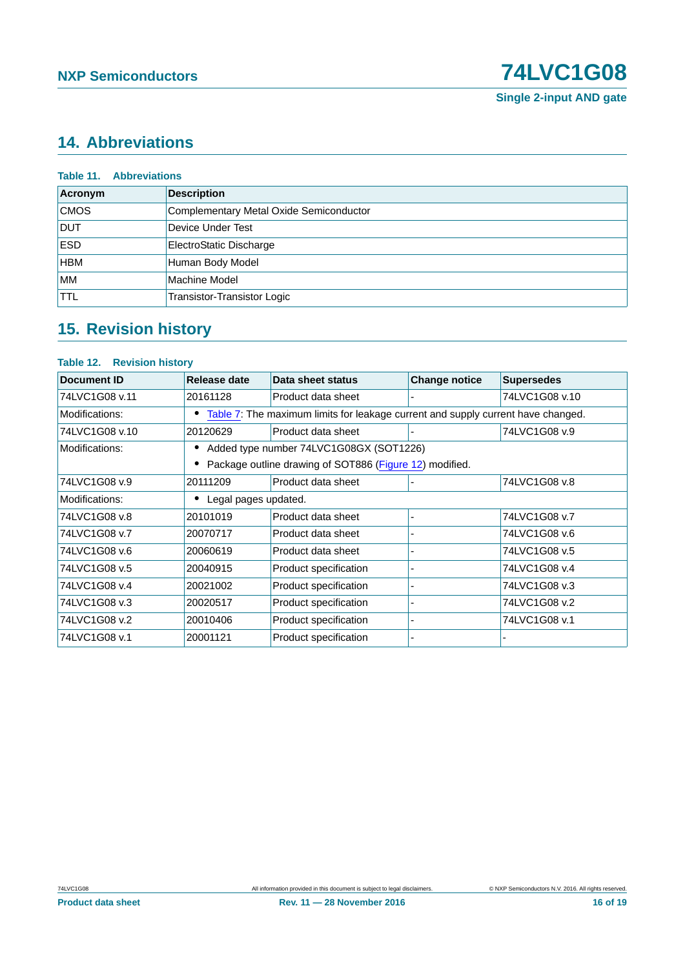# <span id="page-15-0"></span>**14. Abbreviations**

| Acronym     | <b>Description</b>                      |
|-------------|-----------------------------------------|
| <b>CMOS</b> | Complementary Metal Oxide Semiconductor |
| <b>DUT</b>  | Device Under Test                       |
| <b>ESD</b>  | ElectroStatic Discharge                 |
| <b>HBM</b>  | Human Body Model                        |
| <b>MM</b>   | Machine Model                           |
| <b>TTL</b>  | Transistor-Transistor Logic             |

# <span id="page-15-1"></span>**15. Revision history**

### **Table 12. Revision history**

| <b>Document ID</b> | Release date                                                                     | Data sheet status     | <b>Change notice</b> | <b>Supersedes</b> |
|--------------------|----------------------------------------------------------------------------------|-----------------------|----------------------|-------------------|
| 74LVC1G08 v.11     | 20161128                                                                         | Product data sheet    |                      | 74LVC1G08 v.10    |
| Modifications:     | Table 7: The maximum limits for leakage current and supply current have changed. |                       |                      |                   |
| 74LVC1G08 v.10     | 20120629                                                                         | Product data sheet    |                      | 74LVC1G08 v.9     |
| Modifications:     | Added type number 74LVC1G08GX (SOT1226)                                          |                       |                      |                   |
|                    | Package outline drawing of SOT886 (Figure 12) modified.                          |                       |                      |                   |
| 74LVC1G08 v.9      | 20111209                                                                         | Product data sheet    |                      | 74LVC1G08 v.8     |
| Modifications:     | Legal pages updated.                                                             |                       |                      |                   |
| 74LVC1G08 v.8      | 20101019                                                                         | Product data sheet    |                      | 74LVC1G08 v.7     |
| 74LVC1G08 v.7      | 20070717                                                                         | Product data sheet    |                      | 74LVC1G08 v.6     |
| 74LVC1G08 v.6      | 20060619                                                                         | Product data sheet    |                      | 74LVC1G08 v.5     |
| 74LVC1G08 v.5      | 20040915                                                                         | Product specification |                      | 74LVC1G08 v.4     |
| 74LVC1G08 v.4      | 20021002                                                                         | Product specification |                      | 74LVC1G08 v.3     |
| 74LVC1G08 v.3      | 20020517                                                                         | Product specification |                      | 74LVC1G08 v.2     |
| 74LVC1G08 v.2      | 20010406                                                                         | Product specification |                      | 74LVC1G08 v.1     |
| 74LVC1G08 v.1      | 20001121                                                                         | Product specification |                      |                   |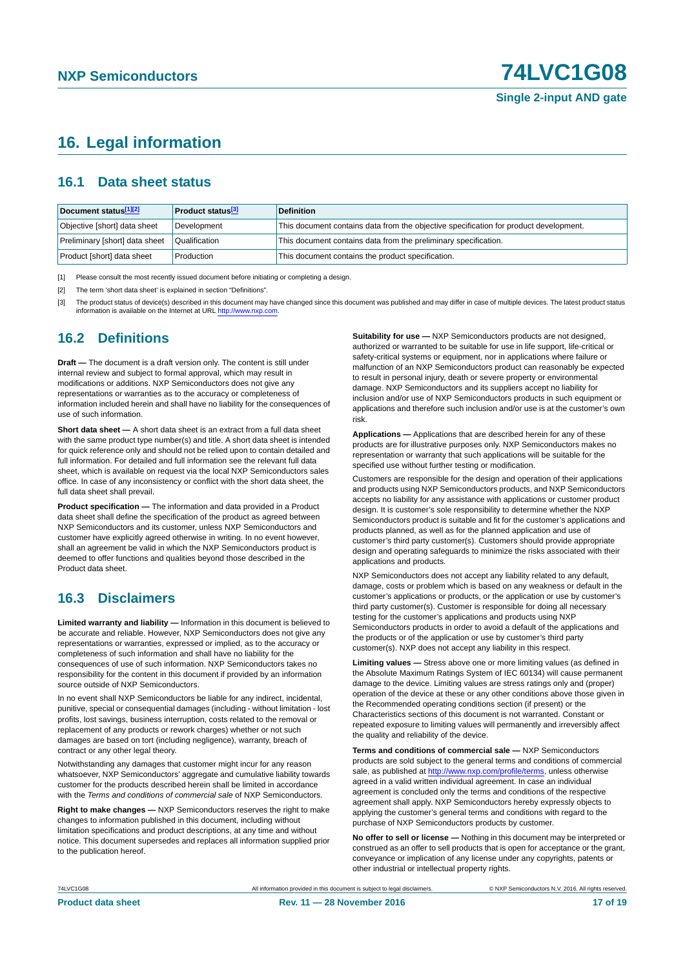# <span id="page-16-3"></span>**16. Legal information**

### <span id="page-16-4"></span>**16.1 Data sheet status**

| Document status[1][2]          | <b>Product status</b> <sup>[3]</sup> | <b>Definition</b>                                                                     |
|--------------------------------|--------------------------------------|---------------------------------------------------------------------------------------|
| Objective [short] data sheet   | Development                          | This document contains data from the objective specification for product development. |
| Preliminary [short] data sheet | Qualification                        | This document contains data from the preliminary specification.                       |
| Product [short] data sheet     | Production                           | This document contains the product specification.                                     |

<span id="page-16-0"></span>[1] Please consult the most recently issued document before initiating or completing a design.

<span id="page-16-1"></span>[2] The term 'short data sheet' is explained in section "Definitions".

<span id="page-16-2"></span>[3] The product status of device(s) described in this document may have changed since this document was published and may differ in case of multiple devices. The latest product status<br>information is available on the Intern

### <span id="page-16-5"></span>**16.2 Definitions**

**Draft —** The document is a draft version only. The content is still under internal review and subject to formal approval, which may result in modifications or additions. NXP Semiconductors does not give any representations or warranties as to the accuracy or completeness of information included herein and shall have no liability for the consequences of use of such information.

**Short data sheet —** A short data sheet is an extract from a full data sheet with the same product type number(s) and title. A short data sheet is intended for quick reference only and should not be relied upon to contain detailed and full information. For detailed and full information see the relevant full data sheet, which is available on request via the local NXP Semiconductors sales office. In case of any inconsistency or conflict with the short data sheet, the full data sheet shall prevail.

**Product specification —** The information and data provided in a Product data sheet shall define the specification of the product as agreed between NXP Semiconductors and its customer, unless NXP Semiconductors and customer have explicitly agreed otherwise in writing. In no event however, shall an agreement be valid in which the NXP Semiconductors product is deemed to offer functions and qualities beyond those described in the Product data sheet.

### <span id="page-16-6"></span>**16.3 Disclaimers**

**Limited warranty and liability —** Information in this document is believed to be accurate and reliable. However, NXP Semiconductors does not give any representations or warranties, expressed or implied, as to the accuracy or completeness of such information and shall have no liability for the consequences of use of such information. NXP Semiconductors takes no responsibility for the content in this document if provided by an information source outside of NXP Semiconductors.

In no event shall NXP Semiconductors be liable for any indirect, incidental, punitive, special or consequential damages (including - without limitation - lost profits, lost savings, business interruption, costs related to the removal or replacement of any products or rework charges) whether or not such damages are based on tort (including negligence), warranty, breach of contract or any other legal theory.

Notwithstanding any damages that customer might incur for any reason whatsoever, NXP Semiconductors' aggregate and cumulative liability towards customer for the products described herein shall be limited in accordance with the *Terms and conditions of commercial sale* of NXP Semiconductors.

**Right to make changes —** NXP Semiconductors reserves the right to make changes to information published in this document, including without limitation specifications and product descriptions, at any time and without notice. This document supersedes and replaces all information supplied prior to the publication hereof.

**Suitability for use —** NXP Semiconductors products are not designed, authorized or warranted to be suitable for use in life support, life-critical or safety-critical systems or equipment, nor in applications where failure or malfunction of an NXP Semiconductors product can reasonably be expected to result in personal injury, death or severe property or environmental damage. NXP Semiconductors and its suppliers accept no liability for inclusion and/or use of NXP Semiconductors products in such equipment or applications and therefore such inclusion and/or use is at the customer's own risk.

**Applications —** Applications that are described herein for any of these products are for illustrative purposes only. NXP Semiconductors makes no representation or warranty that such applications will be suitable for the specified use without further testing or modification.

Customers are responsible for the design and operation of their applications and products using NXP Semiconductors products, and NXP Semiconductors accepts no liability for any assistance with applications or customer product design. It is customer's sole responsibility to determine whether the NXP Semiconductors product is suitable and fit for the customer's applications and products planned, as well as for the planned application and use of customer's third party customer(s). Customers should provide appropriate design and operating safeguards to minimize the risks associated with their applications and products.

NXP Semiconductors does not accept any liability related to any default, damage, costs or problem which is based on any weakness or default in the customer's applications or products, or the application or use by customer's third party customer(s). Customer is responsible for doing all necessary testing for the customer's applications and products using NXP Semiconductors products in order to avoid a default of the applications and the products or of the application or use by customer's third party customer(s). NXP does not accept any liability in this respect.

**Limiting values —** Stress above one or more limiting values (as defined in the Absolute Maximum Ratings System of IEC 60134) will cause permanent damage to the device. Limiting values are stress ratings only and (proper) operation of the device at these or any other conditions above those given in the Recommended operating conditions section (if present) or the Characteristics sections of this document is not warranted. Constant or repeated exposure to limiting values will permanently and irreversibly affect the quality and reliability of the device.

**Terms and conditions of commercial sale —** NXP Semiconductors products are sold subject to the general terms and conditions of commercial sale, as published at<http://www.nxp.com/profile/terms>, unless otherwise agreed in a valid written individual agreement. In case an individual agreement is concluded only the terms and conditions of the respective agreement shall apply. NXP Semiconductors hereby expressly objects to applying the customer's general terms and conditions with regard to the purchase of NXP Semiconductors products by customer.

**No offer to sell or license —** Nothing in this document may be interpreted or construed as an offer to sell products that is open for acceptance or the grant, conveyance or implication of any license under any copyrights, patents or other industrial or intellectual property rights.

74LVC1G08 All information provided in this document is subject to legal disclaimers. © NXP Semiconductors N.V. 2016. All rights reserved.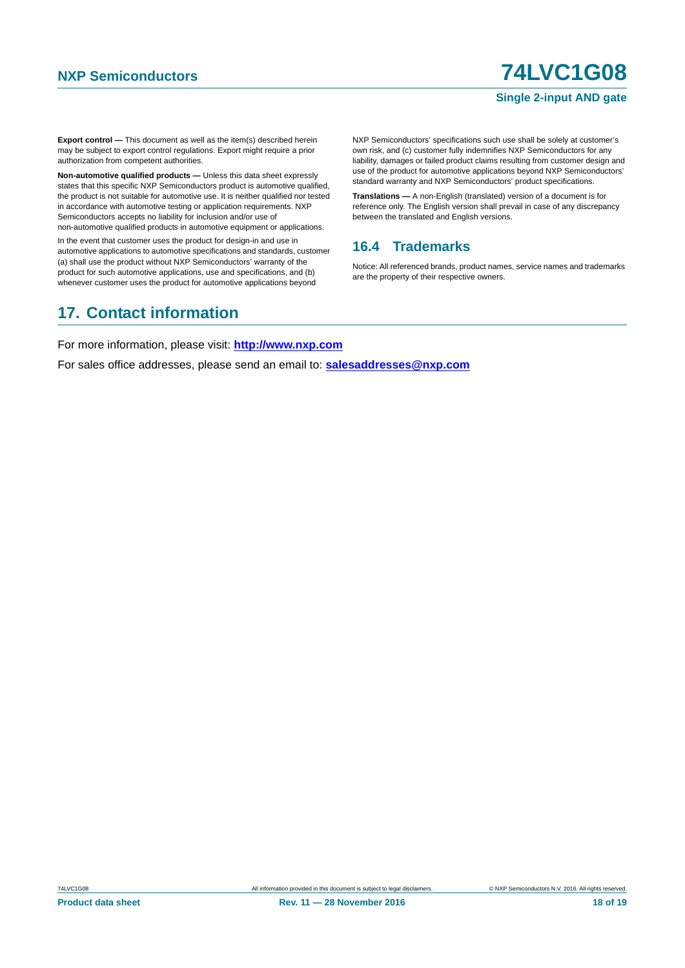### **Single 2-input AND gate**

**Export control —** This document as well as the item(s) described herein may be subject to export control regulations. Export might require a prior authorization from competent authorities.

**Non-automotive qualified products —** Unless this data sheet expressly states that this specific NXP Semiconductors product is automotive qualified, the product is not suitable for automotive use. It is neither qualified nor tested in accordance with automotive testing or application requirements. NXP Semiconductors accepts no liability for inclusion and/or use of non-automotive qualified products in automotive equipment or applications.

In the event that customer uses the product for design-in and use in automotive applications to automotive specifications and standards, customer (a) shall use the product without NXP Semiconductors' warranty of the product for such automotive applications, use and specifications, and (b) whenever customer uses the product for automotive applications beyond

NXP Semiconductors' specifications such use shall be solely at customer's own risk, and (c) customer fully indemnifies NXP Semiconductors for any liability, damages or failed product claims resulting from customer design and use of the product for automotive applications beyond NXP Semiconductors' standard warranty and NXP Semiconductors' product specifications.

**Translations —** A non-English (translated) version of a document is for reference only. The English version shall prevail in case of any discrepancy between the translated and English versions.

### <span id="page-17-0"></span>**16.4 Trademarks**

Notice: All referenced brands, product names, service names and trademarks are the property of their respective owners.

# <span id="page-17-1"></span>**17. Contact information**

For more information, please visit: **http://www.nxp.com**

For sales office addresses, please send an email to: **salesaddresses@nxp.com**